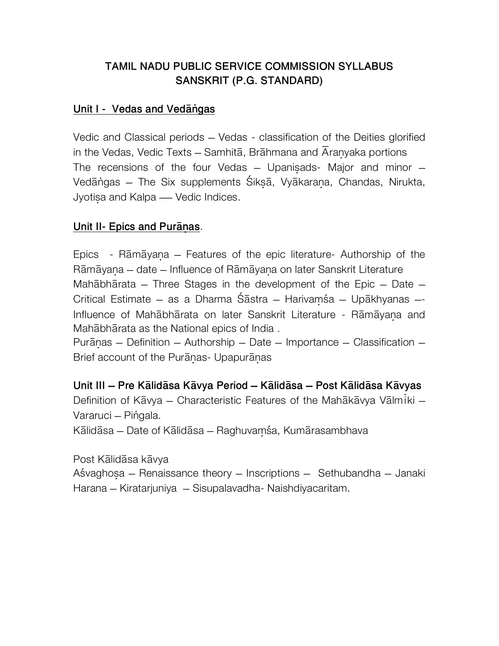## **TAMIL NADU PUBLIC SERVICE COMMISSION SYLLABUS** SANSKRIT (P.G. STANDARD)

#### Unit I - Vedas and Vedangas

Vedic and Classical periods - Vedas - classification of the Deities glorified in the Vedas, Vedic Texts – Samhitā, Brāhmana and Aranyaka portions The recensions of the four Vedas - Upanisads- Major and minor -Vedāngas - The Six supplements Śikṣā, Vyākarana, Chandas, Nirukta, Jyotisa and Kalpa - Vedic Indices.

#### Unit II- Epics and Puranas.

Epics - Rāmāyana – Features of the epic literature- Authorship of the Rāmāyana – date – Influence of Rāmāyana on later Sanskrit Literature Mahabharata – Three Stages in the development of the Epic – Date – Critical Estimate - as a Dharma Śāstra - Harivamśa - Upākhyanas -Influence of Mahabharata on later Sanskrit Literature - Ramayana and Mahābhārata as the National epics of India.

Purānas – Definition – Authorship – Date – Importance – Classification – Brief account of the Puranas- Upapuranas

Unit III – Pre Kālidāsa Kāvya Period – Kālidāsa – Post Kālidāsa Kāvyas Definition of Kāvya – Characteristic Features of the Mahākāvya Vālmiki – Vararuci - Pingala. Kālidāsa – Date of Kālidāsa – Raghuvamśa, Kumārasambhava

Post Kālidāsa kāvya Aśvaghosa – Renaissance theory – Inscriptions – Sethubandha – Janaki Harana – Kiratarjuniya – Sisupalavadha- Naishdiyacaritam.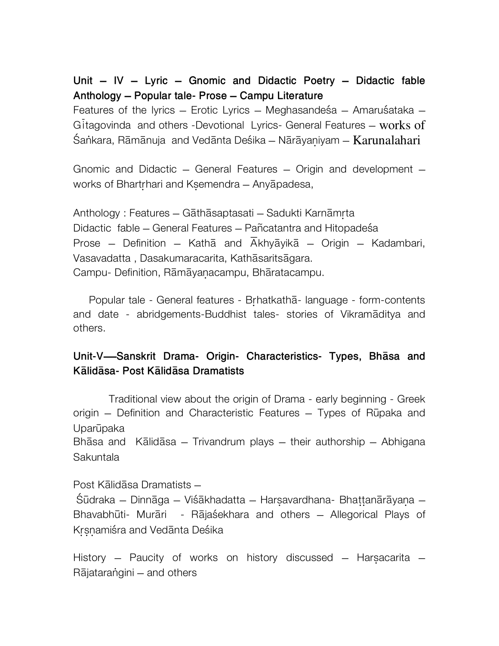## Unit **–** IV **–** Lyric **–** Gnomic and Didactic Poetry **–** Didactic fable Anthology **–** Popular tale- Prose **–** Campu Literature

Features of the lyrics – Erotic Lyrics – Meghasandesa – Amarusataka – Gitagovinda and others -Devotional Lyrics- General Features  $-$  works of Śankara, Rāmānuja and Vedānta Deśika – Nārāyaniyam – Karunalahari

Gnomic and Didactic – General Features – Origin and development – works of Bhartrhari and Ksemendra – Anyapadesa,

Anthology : Features – Gāthāsaptasati – Sadukti Karnāmrta Didactic fable – General Features – Pañcatantra and Hitopadeśa Prose – Definition – Kathā and  $\overline{A}$ khyāyikā – Origin – Kadambari, Vasavadatta, Dasakumaracarita, Kathāsaritsāgara. Campu- Definition, Rāmāyanacampu, Bhāratacampu.

Popular tale - General features - Brhatkatha - language - form-contents and date - abridgements-Buddhist tales- stories of Vikramaditya and others.

## Unit-V—Sanskrit Drama- Origin- Characteristics- Types, Bhasa and Kālidāsa- Post Kālidāsa Dramatists

 Traditional view about the origin of Drama - early beginning - Greek origin - Definition and Characteristic Features - Types of Rūpaka and Uparūpaka

Bh $\bar{a}$ sa and K $\bar{a}$ lid $\bar{a}$ sa – Trivandrum plays – their authorship – Abhigana Sakuntala

Post Kālidāsa Dramatists –

Śūdraka – Dinnāga – Viśākhadatta – Harsavardhana- Bhattanārāyana – Bhavabhūti- Murāri - Rājaśekhara and others - Allegorical Plays of Krsnamiśra and Vedānta Deśika

History – Paucity of works on history discussed – Harsacarita – Rājatarangini – and others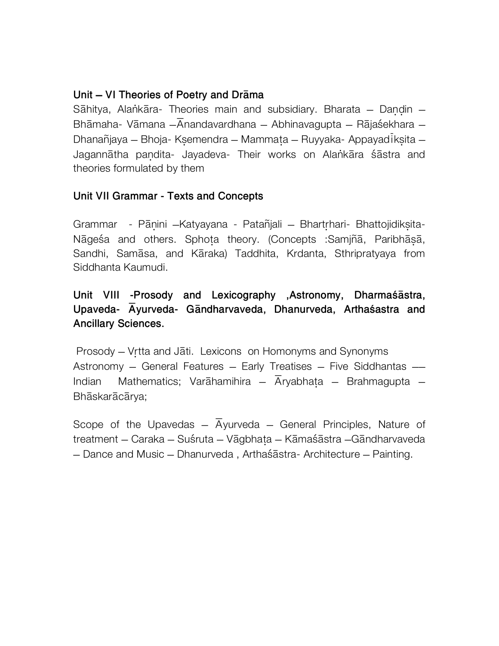#### Unit - VI Theories of Poetry and Drama

Sāhitya, Alankāra- Theories main and subsidiary. Bharata - Dandin -Bhāmaha- Vāmana  $-\overline{A}$ nandavardhana - Abhinavagupta - Rājaśekhara -Dhanañjaya – Bhoja- Ksemendra – Mammata – Ruyyaka- Appayadiksita – Jagannātha pandita- Jayadeva- Their works on Alankāra śāstra and theories formulated by them

#### **Unit VII Grammar - Texts and Concepts**

Grammar - Pānini - Katyayana - Patañjali - Bhartrhari - Bhattojidiksita -Nāgeśa and others. Sphota theory. (Concepts : Samiña, Paribhāsā, Sandhi, Samāsa, and Kāraka) Taddhita, Krdanta, Sthripratyaya from Siddhanta Kaumudi.

## Unit VIII -Prosody and Lexicography ,Astronomy, Dharmaśāstra, Upaveda- Ayurveda- Gāndharvaveda, Dhanurveda, Arthaśastra and **Ancillary Sciences.**

Prosody - Vrtta and Jāti. Lexicons on Homonyms and Synonyms Astronomy - General Features - Early Treatises - Five Siddhantas -Mathematics; Varahamihira - Aryabhata - Brahmagupta -Indian Bhāskarācārva;

Scope of the Upavedas -  $\overline{A}$ yurveda - General Principles, Nature of treatment – Caraka – Suśruta – Vāgbhata – Kāmaśāstra – Gāndharvaveda - Dance and Music - Dhanurveda, Arthaśāstra- Architecture - Painting.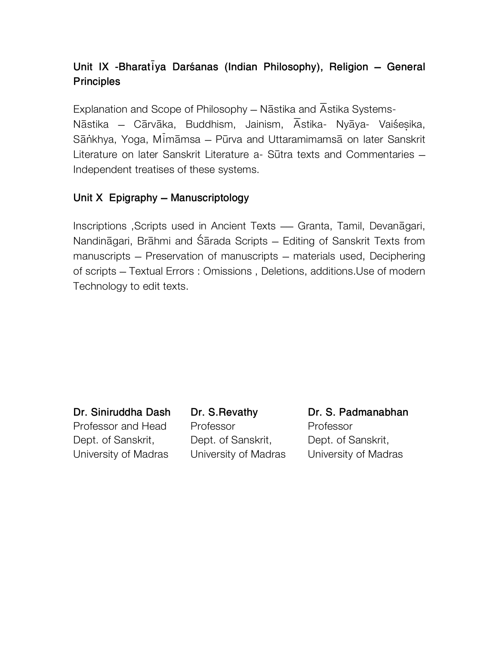# Unit IX -Bharatiya Darśanas (Indian Philosophy), Religion – General **Principles**

Explanation and Scope of Philosophy – Nāstika and Astika Systems-Nāstika – Cārvāka, Buddhism, Jainism, Āstika- Nyāya- Vaiśesika, Sānkhya, Yoga, Mimāmsa – Pūrva and Uttaramimamsā on later Sanskrit Literature on later Sanskrit Literature a- Sūtra texts and Commentaries – Independent treatises of these systems.

### Unit X Epigraphy **–** Manuscriptology

Inscriptions , Scripts used in Ancient Texts — Granta, Tamil, Devanagari, Nandināgari, Brāhmi and Śārada Scripts – Editing of Sanskrit Texts from manuscripts – Preservation of manuscripts – materials used, Deciphering of scripts – Textual Errors : Omissions , Deletions, additions.Use of modern Technology to edit texts.

Dr. Siniruddha Dash Dr. S.Revathy Dr. S. Padmanabhan Professor and Head Professor **Professor** Dept. of Sanskrit, Dept. of Sanskrit, Dept. of Sanskrit, University of Madras University of Madras University of Madras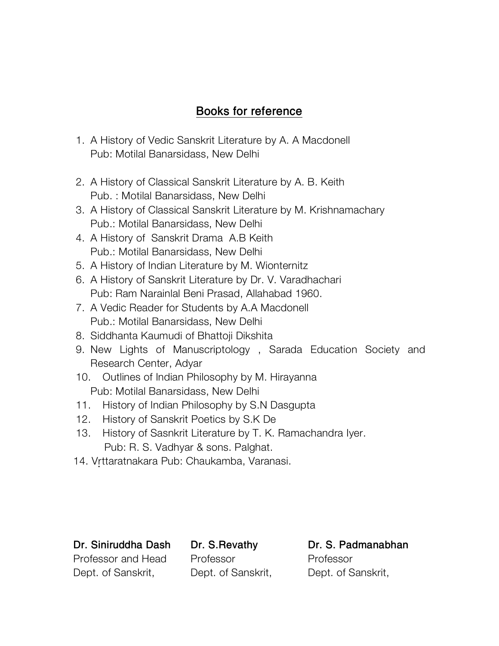## Books for reference

- 1. A History of Vedic Sanskrit Literature by A. A Macdonell Pub: Motilal Banarsidass, New Delhi
- 2. A History of Classical Sanskrit Literature by A. B. Keith Pub. : Motilal Banarsidass, New Delhi
- 3. A History of Classical Sanskrit Literature by M. Krishnamachary Pub.: Motilal Banarsidass, New Delhi
- 4. A History of Sanskrit Drama A.B Keith Pub.: Motilal Banarsidass, New Delhi
- 5. A History of Indian Literature by M. Wionternitz
- 6. A History of Sanskrit Literature by Dr. V. Varadhachari Pub: Ram Narainlal Beni Prasad, Allahabad 1960.
- 7. A Vedic Reader for Students by A.A Macdonell Pub.: Motilal Banarsidass, New Delhi
- 8. Siddhanta Kaumudi of Bhattoji Dikshita
- 9. New Lights of Manuscriptology , Sarada Education Society and Research Center, Adyar
- 10. Outlines of Indian Philosophy by M. Hirayanna Pub: Motilal Banarsidass, New Delhi
- 11. History of Indian Philosophy by S.N Dasgupta
- 12. History of Sanskrit Poetics by S.K De
- 13. History of Sasnkrit Literature by T. K. Ramachandra Iyer. Pub: R. S. Vadhyar & sons. Palghat.
- 14. Vrttaratnakara Pub: Chaukamba, Varanasi.

Professor and Head Professor **Professor** Dept. of Sanskrit, Dept. of Sanskrit, Dept. of Sanskrit,

Dr. Siniruddha Dash Dr. S.Revathy Dr. S. Padmanabhan